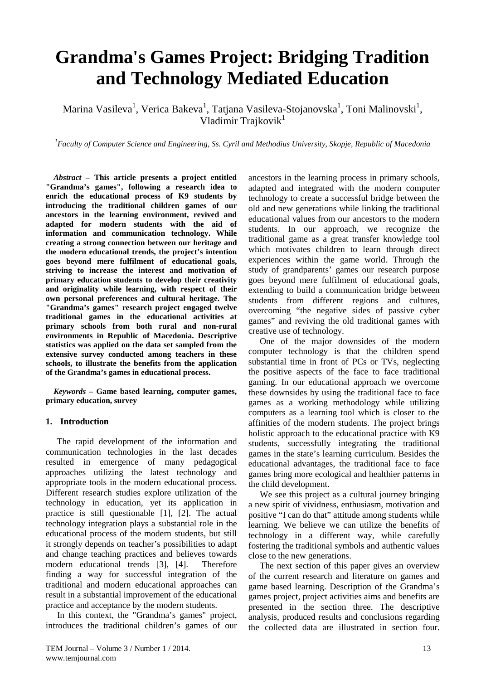# **Grandma's Games Project: Bridging Tradition and Technology Mediated Education**

Marina Vasileva $^{\rm l}$ , Verica Bakeva $^{\rm l}$ , Tatjana Vasileva-Stojanovska $^{\rm l}$ , Toni Malinovski $^{\rm l}$ , Vladimir Trajkovik<sup>1</sup>

*1 Faculty of Computer Science and Engineering, Ss. Cyril and Methodius University, Skopje, Republic of Macedonia*

*Abstract –* **This article presents a project entitled "Grandma's games", following a research idea to enrich the educational process of K9 students by introducing the traditional children games of our ancestors in the learning environment, revived and adapted for modern students with the aid of information and communication technology. While creating a strong connection between our heritage and the modern educational trends, the project's intention goes beyond mere fulfilment of educational goals, striving to increase the interest and motivation of primary education students to develop their creativity and originality while learning, with respect of their own personal preferences and cultural heritage. The "Grandma's games" research project engaged twelve traditional games in the educational activities at primary schools from both rural and non-rural environments in Republic of Macedonia. Descriptive statistics was applied on the data set sampled from the extensive survey conducted among teachers in these schools, to illustrate the benefits from the application of the Grandma's games in educational process.**

*Keywords –* **Game based learning, computer games, primary education, survey**

#### **1. Introduction**

The rapid development of the information and communication technologies in the last decades resulted in emergence of many pedagogical approaches utilizing the latest technology and appropriate tools in the modern educational process. Different research studies explore utilization of the technology in education, yet its application in practice is still questionable [1], [2]. The actual technology integration plays a substantial role in the educational process of the modern students, but still it strongly depends on teacher's possibilities to adapt and change teaching practices and believes towards modern educational trends [3], [4]. Therefore finding a way for successful integration of the traditional and modern educational approaches can result in a substantial improvement of the educational practice and acceptance by the modern students.

In this context, the "Grandma's games" project, introduces the traditional children's games of our

ancestors in the learning process in primary schools, adapted and integrated with the modern computer technology to create a successful bridge between the old and new generations while linking the traditional educational values from our ancestors to the modern students. In our approach, we recognize the traditional game as a great transfer knowledge tool which motivates children to learn through direct experiences within the game world. Through the study of grandparents' games our research purpose goes beyond mere fulfilment of educational goals, extending to build a communication bridge between students from different regions and cultures, overcoming "the negative sides of passive cyber games" and reviving the old traditional games with creative use of technology.

One of the major downsides of the modern computer technology is that the children spend substantial time in front of PCs or TVs, neglecting the positive aspects of the face to face traditional gaming. In our educational approach we overcome these downsides by using the traditional face to face games as a working methodology while utilizing computers as a learning tool which is closer to the affinities of the modern students. The project brings holistic approach to the educational practice with K9 students, successfully integrating the traditional games in the state's learning curriculum. Besides the educational advantages, the traditional face to face games bring more ecological and healthier patterns in the child development.

We see this project as a cultural journey bringing a new spirit of vividness, enthusiasm, motivation and positive "I can do that" attitude among students while learning. We believe we can utilize the benefits of technology in a different way, while carefully fostering the traditional symbols and authentic values close to the new generations.

The next section of this paper gives an overview of the current research and literature on games and game based learning. Description of the Grandma's games project, project activities aims and benefits are presented in the section three. The descriptive analysis, produced results and conclusions regarding the collected data are illustrated in section four.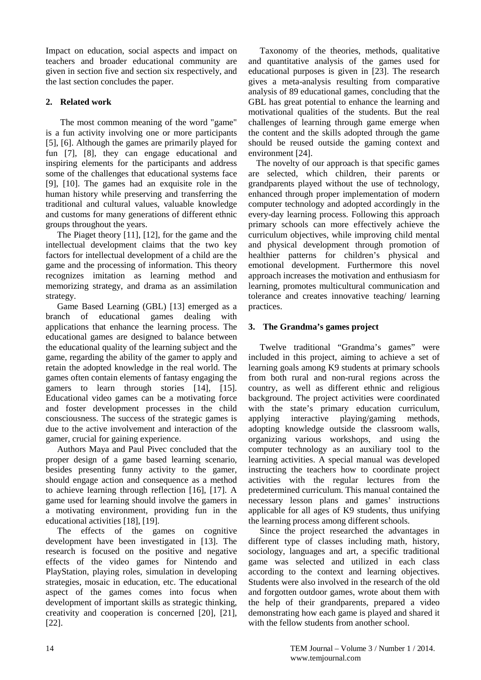Impact on education, social aspects and impact on teachers and broader educational community are given in section five and section six respectively, and the last section concludes the paper.

# **2. Related work**

The most common meaning of the word "game" is a fun activity involving one or more participants [5], [6]. Although the games are primarily played for fun [7], [8], they can engage educational and inspiring elements for the participants and address some of the challenges that educational systems face [9], [10]. The games had an exquisite role in the human history while preserving and transferring the traditional and cultural values, valuable knowledge and customs for many generations of different ethnic groups throughout the years.

The Piaget theory [11], [12], for the game and the intellectual development claims that the two key factors for intellectual development of a child are the game and the processing of information. This theory recognizes imitation as learning method and memorizing strategy, and drama as an assimilation strategy.

Game Based Learning (GBL) [13] emerged as a branch of educational games dealing with applications that enhance the learning process. The educational games are designed to balance between the educational quality of the learning subject and the game, regarding the ability of the gamer to apply and retain the adopted knowledge in the real world. The games often contain elements of fantasy engaging the gamers to learn through stories [14], [15]. Educational video games can be a motivating force and foster development processes in the child consciousness. The success of the strategic games is due to the active involvement and interaction of the gamer, crucial for gaining experience.

Authors Maya and Paul Pivec concluded that the proper design of a game based learning scenario, besides presenting funny activity to the gamer, should engage action and consequence as a method to achieve learning through reflection [16], [17]. A game used for learning should involve the gamers in a motivating environment, providing fun in the educational activities [18], [19].

The effects of the games on cognitive development have been investigated in [13]. The research is focused on the positive and negative effects of the video games for Nintendo and PlayStation, playing roles, simulation in developing strategies, mosaic in education, etc. The educational aspect of the games comes into focus when development of important skills as strategic thinking, creativity and cooperation is concerned [20], [21], [22].

Taxonomy of the theories, methods, qualitative and quantitative analysis of the games used for educational purposes is given in [23]. The research gives a meta-analysis resulting from comparative analysis of 89 educational games, concluding that the GBL has great potential to enhance the learning and motivational qualities of the students. But the real challenges of learning through game emerge when the content and the skills adopted through the game should be reused outside the gaming context and environment [24].

The novelty of our approach is that specific games are selected, which children, their parents or grandparents played without the use of technology, enhanced through proper implementation of modern computer technology and adopted accordingly in the every-day learning process. Following this approach primary schools can more effectively achieve the curriculum objectives, while improving child mental and physical development through promotion of healthier patterns for children's physical and emotional development. Furthermore this novel approach increases the motivation and enthusiasm for learning, promotes multicultural communication and tolerance and creates innovative teaching/ learning practices.

# **3. The Grandma's games project**

Twelve traditional "Grandma's games" were included in this project, aiming to achieve a set of learning goals among K9 students at primary schools from both rural and non-rural regions across the country, as well as different ethnic and religious background. The project activities were coordinated with the state's primary education curriculum, applying interactive playing/gaming methods, adopting knowledge outside the classroom walls, organizing various workshops, and using the computer technology as an auxiliary tool to the learning activities. A special manual was developed instructing the teachers how to coordinate project activities with the regular lectures from the predetermined curriculum. This manual contained the necessary lesson plans and games' instructions applicable for all ages of K9 students, thus unifying the learning process among different schools.

Since the project researched the advantages in different type of classes including math, history, sociology, languages and art, a specific traditional game was selected and utilized in each class according to the context and learning objectives. Students were also involved in the research of the old and forgotten outdoor games, wrote about them with the help of their grandparents, prepared a video demonstrating how each game is played and shared it with the fellow students from another school.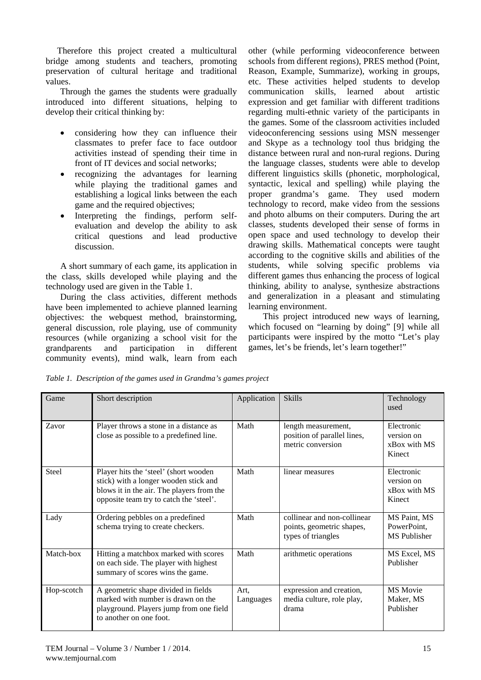Therefore this project created a multicultural bridge among students and teachers, promoting preservation of cultural heritage and traditional values.

Through the games the students were gradually introduced into different situations, helping to develop their critical thinking by:

- considering how they can influence their classmates to prefer face to face outdoor activities instead of spending their time in front of IT devices and social networks;
- recognizing the advantages for learning while playing the traditional games and establishing a logical links between the each game and the required objectives;
- Interpreting the findings, perform selfevaluation and develop the ability to ask critical questions and lead productive discussion.

A short summary of each game, its application in the class, skills developed while playing and the technology used are given in the Table 1.

During the class activities, different methods have been implemented to achieve planned learning objectives: the webquest method, brainstorming, general discussion, role playing, use of community resources (while organizing a school visit for the grandparents and participation in different community events), mind walk, learn from each

other (while performing videoconference between schools from different regions), PRES method (Point, Reason, Example, Summarize), working in groups, etc. These activities helped students to develop communication skills, learned about artistic expression and get familiar with different traditions regarding multi-ethnic variety of the participants in the games. Some of the classroom activities included videoconferencing sessions using MSN messenger and Skype as a technology tool thus bridging the distance between rural and non-rural regions. During the language classes, students were able to develop different linguistics skills (phonetic, morphological, syntactic, lexical and spelling) while playing the proper grandma's game. They used modern technology to record, make video from the sessions and photo albums on their computers. During the art classes, students developed their sense of forms in open space and used technology to develop their drawing skills. Mathematical concepts were taught according to the cognitive skills and abilities of the students, while solving specific problems via different games thus enhancing the process of logical thinking, ability to analyse, synthesize abstractions and generalization in a pleasant and stimulating learning environment.

This project introduced new ways of learning, which focused on "learning by doing" [9] while all participants were inspired by the motto "Let's play games, let's be friends, let's learn together!"

| Game       | Short description                                                                                                                                                      | Application       | <b>Skills</b>                                                                  | Technology<br>used                                 |
|------------|------------------------------------------------------------------------------------------------------------------------------------------------------------------------|-------------------|--------------------------------------------------------------------------------|----------------------------------------------------|
| Zavor      | Player throws a stone in a distance as<br>close as possible to a predefined line.                                                                                      | Math              | length measurement,<br>position of parallel lines,<br>metric conversion        | Electronic<br>version on<br>xBox with MS<br>Kinect |
| Steel      | Player hits the 'steel' (short wooden<br>stick) with a longer wooden stick and<br>blows it in the air. The players from the<br>opposite team try to catch the 'steel'. | Math              | linear measures                                                                | Electronic<br>version on<br>xBox with MS<br>Kinect |
| Lady       | Ordering pebbles on a predefined<br>schema trying to create checkers.                                                                                                  | Math              | collinear and non-collinear<br>points, geometric shapes,<br>types of triangles | MS Paint, MS<br>PowerPoint,<br><b>MS</b> Publisher |
| Match-box  | Hitting a matchbox marked with scores<br>on each side. The player with highest<br>summary of scores wins the game.                                                     | Math              | arithmetic operations                                                          | MS Excel, MS<br>Publisher                          |
| Hop-scotch | A geometric shape divided in fields<br>marked with number is drawn on the<br>playground. Players jump from one field<br>to another on one foot.                        | Art.<br>Languages | expression and creation,<br>media culture, role play,<br>drama                 | MS Movie<br>Maker, MS<br>Publisher                 |

*Table 1. Description of the games used in Grandma's games project*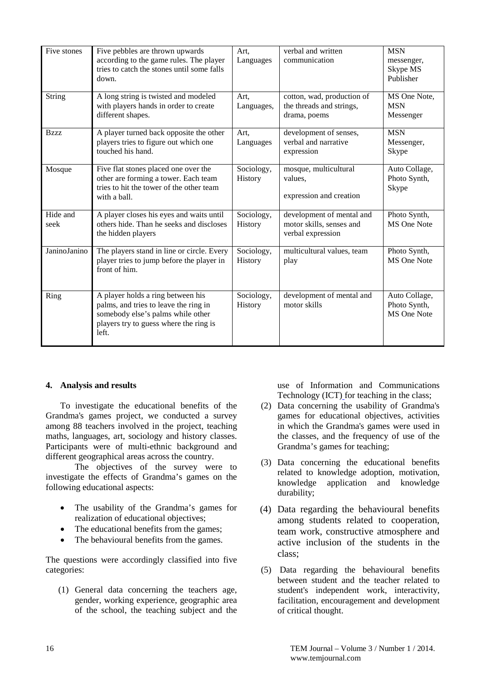| Five stones      | Five pebbles are thrown upwards<br>according to the game rules. The player<br>tries to catch the stones until some falls<br>down.                                  | Art,<br>Languages     | verbal and written<br>communication                                        | <b>MSN</b><br>messenger,<br>Skype MS<br>Publisher |
|------------------|--------------------------------------------------------------------------------------------------------------------------------------------------------------------|-----------------------|----------------------------------------------------------------------------|---------------------------------------------------|
| <b>String</b>    | A long string is twisted and modeled<br>with players hands in order to create<br>different shapes.                                                                 | Art,<br>Languages,    | cotton, wad, production of<br>the threads and strings,<br>drama, poems     | MS One Note,<br><b>MSN</b><br>Messenger           |
| Bzzz             | A player turned back opposite the other<br>players tries to figure out which one<br>touched his hand.                                                              | Art.<br>Languages     | development of senses,<br>verbal and narrative<br>expression               | <b>MSN</b><br>Messenger,<br>Skype                 |
| Mosque           | Five flat stones placed one over the<br>other are forming a tower. Each team<br>tries to hit the tower of the other team<br>with a ball.                           | Sociology,<br>History | mosque, multicultural<br>values.<br>expression and creation                | Auto Collage,<br>Photo Synth,<br>Skype            |
| Hide and<br>seek | A player closes his eyes and waits until<br>others hide. Than he seeks and discloses<br>the hidden players                                                         | Sociology,<br>History | development of mental and<br>motor skills, senses and<br>verbal expression | Photo Synth,<br><b>MS</b> One Note                |
| JaninoJanino     | The players stand in line or circle. Every<br>player tries to jump before the player in<br>front of him.                                                           | Sociology,<br>History | multicultural values, team<br>play                                         | Photo Synth,<br>MS One Note                       |
| Ring             | A player holds a ring between his<br>palms, and tries to leave the ring in<br>somebody else's palms while other<br>players try to guess where the ring is<br>left. | Sociology,<br>History | development of mental and<br>motor skills                                  | Auto Collage,<br>Photo Synth,<br>MS One Note      |

## **4. Analysis and results**

To investigate the educational benefits of the Grandma's games project, we conducted a survey among 88 teachers involved in the project, teaching maths, languages, art, sociology and history classes. Participants were of multi-ethnic background and different geographical areas across the country.

The objectives of the survey were to investigate the effects of Grandma's games on the following educational aspects:

- The usability of the Grandma's games for realization of educational objectives;
- The educational benefits from the games;
- The behavioural benefits from the games.

The questions were accordingly classified into five categories:

(1) General data concerning the teachers age, gender, working experience, geographic area of the school, the teaching subject and the

use of Information and Communications Technology (ICT) for teaching in the class;

- (2) Data concerning the usability of Grandma's games for educational objectives, activities in which the Grandma's games were used in the classes, and the frequency of use of the Grandma's games for teaching;
- (3) Data concerning the educational benefits related to knowledge adoption, motivation, knowledge application and knowledge durability;
- (4) Data regarding the behavioural benefits among students related to cooperation, team work, constructive atmosphere and active inclusion of the students in the class;
- (5) Data regarding the behavioural benefits between student and the teacher related to student's independent work, interactivity, facilitation, encouragement and development of critical thought.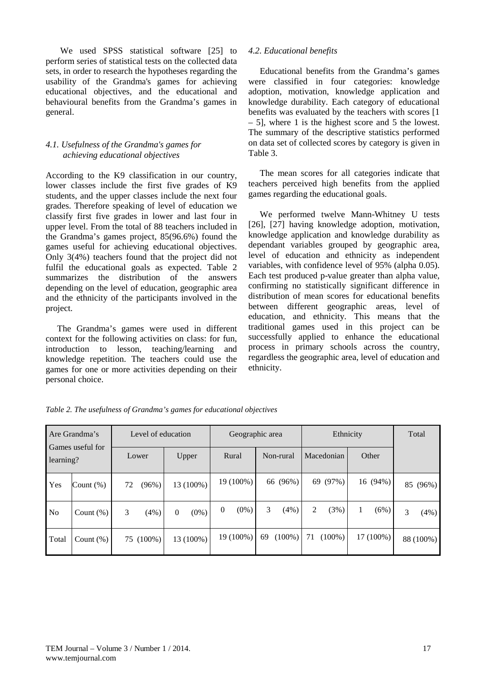We used SPSS statistical software [25] to perform series of statistical tests on the collected data sets, in order to research the hypotheses regarding the usability of the Grandma's games for achieving educational objectives, and the educational and behavioural benefits from the Grandma's games in general.

# *4.1. Usefulness of the Grandma's games for achieving educational objectives*

According to the K9 classification in our country, lower classes include the first five grades of K9 students, and the upper classes include the next four grades. Therefore speaking of level of education we classify first five grades in lower and last four in upper level. From the total of 88 teachers included in the Grandma's games project, 85(96.6%) found the games useful for achieving educational objectives. Only 3(4%) teachers found that the project did not fulfil the educational goals as expected. Table 2 summarizes the distribution of the answers depending on the level of education, geographic area and the ethnicity of the participants involved in the project.

The Grandma's games were used in different context for the following activities on class: for fun, introduction to lesson, teaching/learning and knowledge repetition. The teachers could use the games for one or more activities depending on their personal choice.

## *4.2. Educational benefits*

Educational benefits from the Grandma's games were classified in four categories: knowledge adoption, motivation, knowledge application and knowledge durability. Each category of educational benefits was evaluated by the teachers with scores [1 – 5], where 1 is the highest score and 5 the lowest. The summary of the descriptive statistics performed on data set of collected scores by category is given in Table 3.

The mean scores for all categories indicate that teachers perceived high benefits from the applied games regarding the educational goals.

We performed twelve Mann-Whitney U tests [26], [27] having knowledge adoption, motivation, knowledge application and knowledge durability as dependant variables grouped by geographic area, level of education and ethnicity as independent variables, with confidence level of 95% (alpha 0.05). Each test produced p-value greater than alpha value, confirming no statistically significant difference in distribution of mean scores for educational benefits between different geographic areas, level of education, and ethnicity. This means that the traditional games used in this project can be successfully applied to enhance the educational process in primary schools across the country, regardless the geographic area, level of education and ethnicity.

| Are Grandma's<br>Games useful for<br>learning? |              | Level of education |           |          | Geographic area |                |           | Ethnicity |           |    |            | Total |             |   |           |
|------------------------------------------------|--------------|--------------------|-----------|----------|-----------------|----------------|-----------|-----------|-----------|----|------------|-------|-------------|---|-----------|
|                                                |              |                    | Lower     |          | Upper           |                | Rural     |           | Non-rural |    | Macedonian |       | Other       |   |           |
| Yes                                            | Count $(\%)$ | 72                 | (96%)     |          | 13 (100%)       |                | 19 (100%) |           | 66 (96%)  |    | 69 (97%)   |       | 16(94%)     |   | 85 (96%)  |
| N <sub>o</sub>                                 | Count $(\%)$ | 3                  | (4%)      | $\Omega$ | $(0\%)$         | $\overline{0}$ | $(0\%)$   | 3         | (4%)      | 2  | (3%)       |       | (6%)        | 3 | (4%)      |
| Total                                          | Count $(\%)$ |                    | 75 (100%) |          | 13 (100%)       |                | 19 (100%) | 69        | $(100\%)$ | 71 | $(100\%)$  |       | $17(100\%)$ |   | 88 (100%) |

*Table 2. The usefulness of Grandma's games for educational objectives*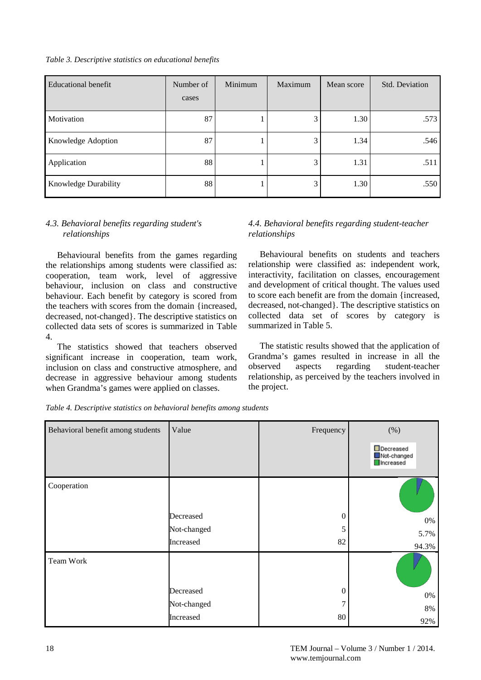*Table 3. Descriptive statistics on educational benefits*

| Educational benefit  | Number of<br>cases | Minimum | Maximum | Mean score | Std. Deviation |
|----------------------|--------------------|---------|---------|------------|----------------|
| Motivation           | 87                 |         | 3       | 1.30       | .573           |
| Knowledge Adoption   | 87                 |         | 3       | 1.34       | .546           |
| Application          | 88                 |         | 3       | 1.31       | .511           |
| Knowledge Durability | 88                 |         | 3       | 1.30       | .550           |

# *4.3. Behavioral benefits regarding student's relationships*

Behavioural benefits from the games regarding the relationships among students were classified as: cooperation, team work, level of aggressive behaviour, inclusion on class and constructive behaviour. Each benefit by category is scored from the teachers with scores from the domain {increased, decreased, not-changed}. The descriptive statistics on collected data sets of scores is summarized in Table 4.

The statistics showed that teachers observed significant increase in cooperation, team work, inclusion on class and constructive atmosphere, and decrease in aggressive behaviour among students when Grandma's games were applied on classes.

# *4.4. Behavioral benefits regarding student-teacher relationships*

Behavioural benefits on students and teachers relationship were classified as: independent work, interactivity, facilitation on classes, encouragement and development of critical thought. The values used to score each benefit are from the domain {increased, decreased, not-changed}. The descriptive statistics on collected data set of scores by category is summarized in Table 5.

The statistic results showed that the application of Grandma's games resulted in increase in all the observed aspects regarding student-teacher relationship, as perceived by the teachers involved in the project.

| Behavioral benefit among students | Value       | Frequency | (%)                                   |
|-----------------------------------|-------------|-----------|---------------------------------------|
|                                   |             |           | Decreased<br>Not-changed<br>Increased |
| Cooperation                       |             |           |                                       |
|                                   | Decreased   | $\theta$  | 0%                                    |
|                                   | Not-changed | 5         | 5.7%                                  |
|                                   | Increased   | 82        | 94.3%                                 |
| Team Work                         |             |           |                                       |
|                                   | Decreased   | $\theta$  | 0%                                    |
|                                   | Not-changed | 7         | 8%                                    |
|                                   | Increased   | 80        | 92%                                   |

*Table 4. Descriptive statistics on behavioral benefits among students*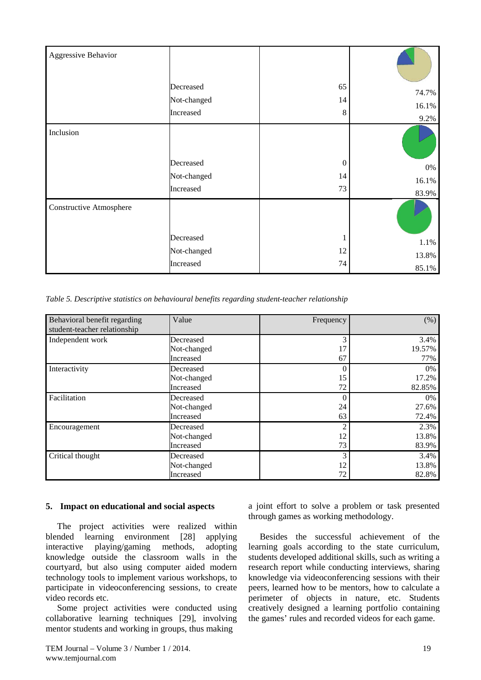| Aggressive Behavior     |             |                |       |
|-------------------------|-------------|----------------|-------|
|                         | Decreased   | 65             | 74.7% |
|                         | Not-changed | 14             | 16.1% |
|                         | Increased   | 8              | 9.2%  |
| Inclusion               |             |                |       |
|                         | Decreased   | $\overline{0}$ | 0%    |
|                         | Not-changed | 14             | 16.1% |
|                         | Increased   | 73             | 83.9% |
| Constructive Atmosphere |             |                |       |
|                         | Decreased   |                | 1.1%  |
|                         | Not-changed | 12             | 13.8% |
|                         | Increased   | 74             | 85.1% |

*Table 5. Descriptive statistics on behavioural benefits regarding student-teacher relationship*

| Behavioral benefit regarding<br>student-teacher relationship | Value       | Frequency      | (% )   |
|--------------------------------------------------------------|-------------|----------------|--------|
| Independent work                                             | Decreased   | 3              | 3.4%   |
|                                                              | Not-changed | 17             | 19.57% |
|                                                              | Increased   | 67             | 77%    |
| Interactivity                                                | Decreased   | 0              | 0%     |
|                                                              | Not-changed | 15             | 17.2%  |
|                                                              | Increased   | 72             | 82.85% |
| Facilitation                                                 | Decreased   | 0              | 0%     |
|                                                              | Not-changed | 24             | 27.6%  |
|                                                              | Increased   | 63             | 72.4%  |
| Encouragement                                                | Decreased   | $\overline{c}$ | 2.3%   |
|                                                              | Not-changed | 12             | 13.8%  |
|                                                              | Increased   | 73             | 83.9%  |
| Critical thought                                             | Decreased   | 3              | 3.4%   |
|                                                              | Not-changed | 12             | 13.8%  |
|                                                              | Increased   | 72             | 82.8%  |

#### **5. Impact on educational and social aspects**

The project activities were realized within blended learning environment [28] applying interactive playing/gaming methods, adopting knowledge outside the classroom walls in the courtyard, but also using computer aided modern technology tools to implement various workshops, to participate in videoconferencing sessions, to create video records etc.

Some project activities were conducted using collaborative learning techniques [29], involving mentor students and working in groups, thus making

a joint effort to solve a problem or task presented through games as working methodology.

Besides the successful achievement of the learning goals according to the state curriculum, students developed additional skills, such as writing a research report while conducting interviews, sharing knowledge via videoconferencing sessions with their peers, learned how to be mentors, how to calculate a perimeter of objects in nature, etc. Students creatively designed a learning portfolio containing the games' rules and recorded videos for each game.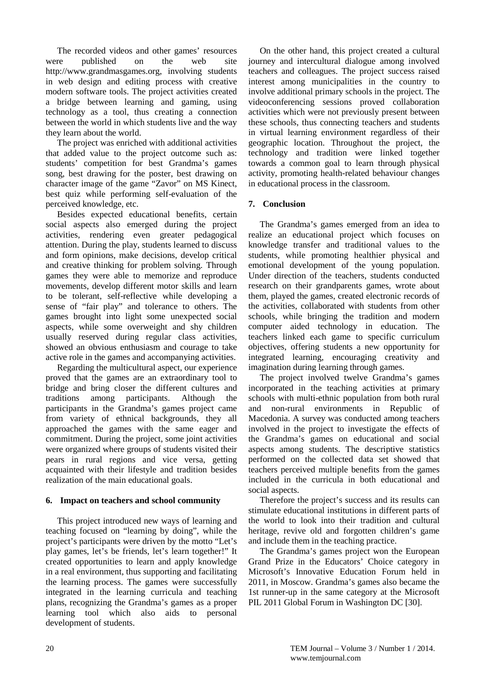The recorded videos and other games' resources were published on the web site [http://www.grandmasgames.org,](http://www.grandmasgames.org/) involving students in web design and editing process with creative modern software tools. The project activities created a bridge between learning and gaming, using technology as a tool, thus creating a connection between the world in which students live and the way they learn about the world.

The project was enriched with additional activities that added value to the project outcome such as: students' competition for best Grandma's games song, best drawing for the poster, best drawing on character image of the game "Zavor" on MS Kinect, best quiz while performing self-evaluation of the perceived knowledge, etc.

Besides expected educational benefits, certain social aspects also emerged during the project activities, rendering even greater pedagogical attention. During the play, students learned to discuss and form opinions, make decisions, develop critical and creative thinking for problem solving. Through games they were able to memorize and reproduce movements, develop different motor skills and learn to be tolerant, self-reflective while developing a sense of "fair play" and tolerance to others. The games brought into light some unexpected social aspects, while some overweight and shy children usually reserved during regular class activities, showed an obvious enthusiasm and courage to take active role in the games and accompanying activities.

Regarding the multicultural aspect, our experience proved that the games are an extraordinary tool to bridge and bring closer the different cultures and traditions among participants. Although the participants in the Grandma's games project came from variety of ethnical backgrounds, they all approached the games with the same eager and commitment. During the project, some joint activities were organized where groups of students visited their pears in rural regions and vice versa, getting acquainted with their lifestyle and tradition besides realization of the main educational goals.

## **6. Impact on teachers and school community**

This project introduced new ways of learning and teaching focused on "learning by doing", while the project's participants were driven by the motto "Let's play games, let's be friends, let's learn together!" It created opportunities to learn and apply knowledge in a real environment, thus supporting and facilitating the learning process. The games were successfully integrated in the learning curricula and teaching plans, recognizing the Grandma's games as a proper learning tool which also aids to personal development of students.

On the other hand, this project created a cultural journey and intercultural dialogue among involved teachers and colleagues. The project success raised interest among municipalities in the country to involve additional primary schools in the project. The videoconferencing sessions proved collaboration activities which were not previously present between these schools, thus connecting teachers and students in virtual learning environment regardless of their geographic location. Throughout the project, the technology and tradition were linked together towards a common goal to learn through physical activity, promoting health-related behaviour changes in educational process in the classroom.

# **7. Conclusion**

The Grandma's games emerged from an idea to realize an educational project which focuses on knowledge transfer and traditional values to the students, while promoting healthier physical and emotional development of the young population. Under direction of the teachers, students conducted research on their grandparents games, wrote about them, played the games, created electronic records of the activities, collaborated with students from other schools, while bringing the tradition and modern computer aided technology in education. The teachers linked each game to specific curriculum objectives, offering students a new opportunity for integrated learning, encouraging creativity and imagination during learning through games.

The project involved twelve Grandma's games incorporated in the teaching activities at primary schools with multi-ethnic population from both rural and non-rural environments in Republic of Macedonia. A survey was conducted among teachers involved in the project to investigate the effects of the Grandma's games on educational and social aspects among students. The descriptive statistics performed on the collected data set showed that teachers perceived multiple benefits from the games included in the curricula in both educational and social aspects.

Therefore the project's success and its results can stimulate educational institutions in different parts of the world to look into their tradition and cultural heritage, revive old and forgotten children's game and include them in the teaching practice.

The Grandma's games project won the European Grand Prize in the Educators' Choice category in Microsoft's Innovative Education Forum held in 2011, in Moscow. Grandma's games also became the 1st runner-up in the same category at the Microsoft PIL 2011 Global Forum in Washington DC [30].